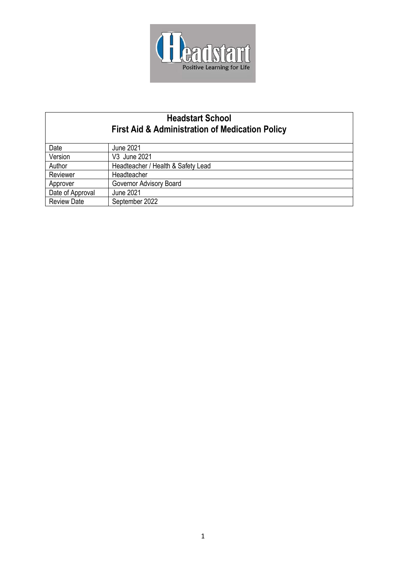

| <b>Headstart School</b><br><b>First Aid &amp; Administration of Medication Policy</b> |                                    |
|---------------------------------------------------------------------------------------|------------------------------------|
|                                                                                       |                                    |
| Date                                                                                  | <b>June 2021</b>                   |
| Version                                                                               | V3 June 2021                       |
| Author                                                                                | Headteacher / Health & Safety Lead |
| Reviewer                                                                              | Headteacher                        |
| Approver                                                                              | Governor Advisory Board            |
| Date of Approval                                                                      | <b>June 2021</b>                   |
| <b>Review Date</b>                                                                    | September 2022                     |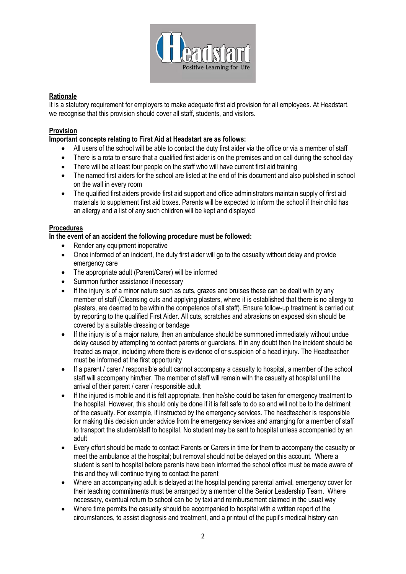

# **Rationale**

It is a statutory requirement for employers to make adequate first aid provision for all employees. At Headstart, we recognise that this provision should cover all staff, students, and visitors.

## **Provision**

### **Important concepts relating to First Aid at Headstart are as follows:**

- All users of the school will be able to contact the duty first aider via the office or via a member of staff
- There is a rota to ensure that a qualified first aider is on the premises and on call during the school day
- There will be at least four people on the staff who will have current first aid training
- The named first aiders for the school are listed at the end of this document and also published in school on the wall in every room
- The qualified first aiders provide first aid support and office administrators maintain supply of first aid materials to supplement first aid boxes. Parents will be expected to inform the school if their child has an allergy and a list of any such children will be kept and displayed

#### **Procedures**

#### **In the event of an accident the following procedure must be followed:**

- Render any equipment inoperative
- Once informed of an incident, the duty first aider will go to the casualty without delay and provide emergency care
- The appropriate adult (Parent/Carer) will be informed
- Summon further assistance if necessary
- If the injury is of a minor nature such as cuts, grazes and bruises these can be dealt with by any member of staff (Cleansing cuts and applying plasters, where it is established that there is no allergy to plasters, are deemed to be within the competence of all staff). Ensure follow-up treatment is carried out by reporting to the qualified First Aider. All cuts, scratches and abrasions on exposed skin should be covered by a suitable dressing or bandage
- If the injury is of a major nature, then an ambulance should be summoned immediately without undue delay caused by attempting to contact parents or guardians. If in any doubt then the incident should be treated as major, including where there is evidence of or suspicion of a head injury. The Headteacher must be informed at the first opportunity
- If a parent / carer / responsible adult cannot accompany a casualty to hospital, a member of the school staff will accompany him/her. The member of staff will remain with the casualty at hospital until the arrival of their parent / carer / responsible adult
- If the injured is mobile and it is felt appropriate, then he/she could be taken for emergency treatment to the hospital. However, this should only be done if it is felt safe to do so and will not be to the detriment of the casualty. For example, if instructed by the emergency services. The headteacher is responsible for making this decision under advice from the emergency services and arranging for a member of staff to transport the student/staff to hospital. No student may be sent to hospital unless accompanied by an adult
- Every effort should be made to contact Parents or Carers in time for them to accompany the casualty or meet the ambulance at the hospital; but removal should not be delayed on this account. Where a student is sent to hospital before parents have been informed the school office must be made aware of this and they will continue trying to contact the parent
- Where an accompanying adult is delayed at the hospital pending parental arrival, emergency cover for their teaching commitments must be arranged by a member of the Senior Leadership Team. Where necessary, eventual return to school can be by taxi and reimbursement claimed in the usual way
- Where time permits the casualty should be accompanied to hospital with a written report of the circumstances, to assist diagnosis and treatment, and a printout of the pupil's medical history can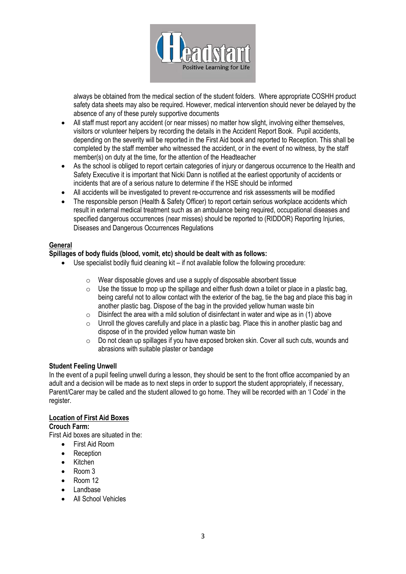

always be obtained from the medical section of the student folders. Where appropriate COSHH product safety data sheets may also be required. However, medical intervention should never be delayed by the absence of any of these purely supportive documents

- All staff must report any accident (or near misses) no matter how slight, involving either themselves, visitors or volunteer helpers by recording the details in the Accident Report Book. Pupil accidents, depending on the severity will be reported in the First Aid book and reported to Reception. This shall be completed by the staff member who witnessed the accident, or in the event of no witness, by the staff member(s) on duty at the time, for the attention of the Headteacher
- As the school is obliged to report certain categories of injury or dangerous occurrence to the Health and Safety Executive it is important that Nicki Dann is notified at the earliest opportunity of accidents or incidents that are of a serious nature to determine if the HSE should be informed
- All accidents will be investigated to prevent re-occurrence and risk assessments will be modified
- The responsible person (Health & Safety Officer) to report certain serious workplace accidents which result in external medical treatment such as an ambulance being required, occupational diseases and specified dangerous occurrences (near misses) should be reported to (RIDDOR) Reporting Injuries, Diseases and Dangerous Occurrences Regulations

### **General**

#### **Spillages of body fluids (blood, vomit, etc) should be dealt with as follows:**

- Use specialist bodily fluid cleaning kit if not available follow the following procedure:
	- o Wear disposable gloves and use a supply of disposable absorbent tissue
	- $\circ$  Use the tissue to mop up the spillage and either flush down a toilet or place in a plastic bag. being careful not to allow contact with the exterior of the bag, tie the bag and place this bag in another plastic bag. Dispose of the bag in the provided yellow human waste bin
	- $\circ$  Disinfect the area with a mild solution of disinfectant in water and wipe as in (1) above
	- $\circ$  Unroll the gloves carefully and place in a plastic bag. Place this in another plastic bag and dispose of in the provided yellow human waste bin
	- o Do not clean up spillages if you have exposed broken skin. Cover all such cuts, wounds and abrasions with suitable plaster or bandage

#### **Student Feeling Unwell**

In the event of a pupil feeling unwell during a lesson, they should be sent to the front office accompanied by an adult and a decision will be made as to next steps in order to support the student appropriately, if necessary, Parent/Carer may be called and the student allowed to go home. They will be recorded with an 'I Code' in the register.

### **Location of First Aid Boxes**

#### **Crouch Farm:**

First Aid boxes are situated in the:

- First Aid Room
- Reception
- Kitchen
- Room 3
- Room 12
- Landbase
- All School Vehicles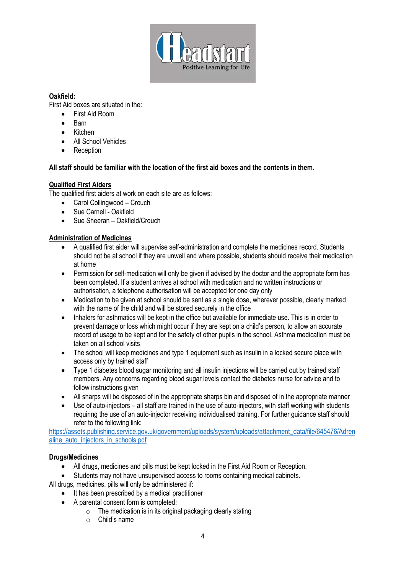

### **Oakfield:**

First Aid boxes are situated in the:

- First Aid Room
- Barn
- Kitchen
- All School Vehicles
- **Reception**

## **All staff should be familiar with the location of the first aid boxes and the contents in them.**

# **Qualified First Aiders**

The qualified first aiders at work on each site are as follows:

- Carol Collingwood Crouch
- Sue Carnell Oakfield
- Sue Sheeran Oakfield/Crouch

# **Administration of Medicines**

- A qualified first aider will supervise self-administration and complete the medicines record. Students should not be at school if they are unwell and where possible, students should receive their medication at home
- Permission for self-medication will only be given if advised by the doctor and the appropriate form has been completed. If a student arrives at school with medication and no written instructions or authorisation, a telephone authorisation will be accepted for one day only
- Medication to be given at school should be sent as a single dose, wherever possible, clearly marked with the name of the child and will be stored securely in the office
- Inhalers for asthmatics will be kept in the office but available for immediate use. This is in order to prevent damage or loss which might occur if they are kept on a child's person, to allow an accurate record of usage to be kept and for the safety of other pupils in the school. Asthma medication must be taken on all school visits
- The school will keep medicines and type 1 equipment such as insulin in a locked secure place with access only by trained staff
- Type 1 diabetes blood sugar monitoring and all insulin injections will be carried out by trained staff members. Any concerns regarding blood sugar levels contact the diabetes nurse for advice and to follow instructions given
- All sharps will be disposed of in the appropriate sharps bin and disposed of in the appropriate manner
- Use of auto-injectors all staff are trained in the use of auto-injectors, with staff working with students requiring the use of an auto-injector receiving individualised training. For further guidance staff should refer to the following link:

[https://assets.publishing.service.gov.uk/government/uploads/system/uploads/attachment\\_data/file/645476/Adren](https://assets.publishing.service.gov.uk/government/uploads/system/uploads/attachment_data/file/645476/Adrenaline_auto_injectors_in_schools.pdf) [aline\\_auto\\_injectors\\_in\\_schools.pdf](https://assets.publishing.service.gov.uk/government/uploads/system/uploads/attachment_data/file/645476/Adrenaline_auto_injectors_in_schools.pdf)

## **Drugs/Medicines**

- All drugs, medicines and pills must be kept locked in the First Aid Room or Reception.
- Students may not have unsupervised access to rooms containing medical cabinets.

All drugs, medicines, pills will only be administered if:

- It has been prescribed by a medical practitioner
- A parental consent form is completed:
	- $\circ$  The medication is in its original packaging clearly stating
	- o Child's name